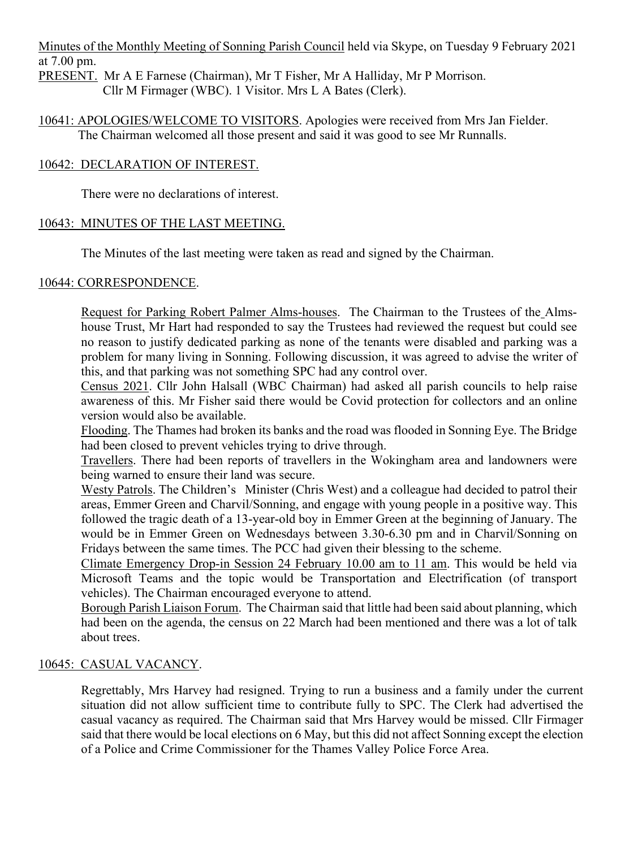Minutes of the Monthly Meeting of Sonning Parish Council held via Skype, on Tuesday 9 February 2021 at 7.00 pm.

PRESENT. Mr A E Farnese (Chairman), Mr T Fisher, Mr A Halliday, Mr P Morrison. Cllr M Firmager (WBC). 1 Visitor. Mrs L A Bates (Clerk).

10641: APOLOGIES/WELCOME TO VISITORS. Apologies were received from Mrs Jan Fielder. The Chairman welcomed all those present and said it was good to see Mr Runnalls.

### 10642: DECLARATION OF INTEREST.

There were no declarations of interest.

# 10643: MINUTES OF THE LAST MEETING.

The Minutes of the last meeting were taken as read and signed by the Chairman.

### 10644: CORRESPONDENCE.

Request for Parking Robert Palmer Alms-houses. The Chairman to the Trustees of the Almshouse Trust, Mr Hart had responded to say the Trustees had reviewed the request but could see no reason to justify dedicated parking as none of the tenants were disabled and parking was a problem for many living in Sonning. Following discussion, it was agreed to advise the writer of this, and that parking was not something SPC had any control over.

Census 2021. Cllr John Halsall (WBC Chairman) had asked all parish councils to help raise awareness of this. Mr Fisher said there would be Covid protection for collectors and an online version would also be available.

Flooding. The Thames had broken its banks and the road was flooded in Sonning Eye. The Bridge had been closed to prevent vehicles trying to drive through.

Travellers. There had been reports of travellers in the Wokingham area and landowners were being warned to ensure their land was secure.

Westy Patrols. The Children's Minister (Chris West) and a colleague had decided to patrol their areas, Emmer Green and Charvil/Sonning, and engage with young people in a positive way. This followed the tragic death of a 13-year-old boy in Emmer Green at the beginning of January. The would be in Emmer Green on Wednesdays between 3.30-6.30 pm and in Charvil/Sonning on Fridays between the same times. The PCC had given their blessing to the scheme.

Climate Emergency Drop-in Session 24 February 10.00 am to 11 am. This would be held via Microsoft Teams and the topic would be Transportation and Electrification (of transport vehicles). The Chairman encouraged everyone to attend.

Borough Parish Liaison Forum. The Chairman said that little had been said about planning, which had been on the agenda, the census on 22 March had been mentioned and there was a lot of talk about trees.

# 10645: CASUAL VACANCY.

Regrettably, Mrs Harvey had resigned. Trying to run a business and a family under the current situation did not allow sufficient time to contribute fully to SPC. The Clerk had advertised the casual vacancy as required. The Chairman said that Mrs Harvey would be missed. Cllr Firmager said that there would be local elections on 6 May, but this did not affect Sonning except the election of a Police and Crime Commissioner for the Thames Valley Police Force Area.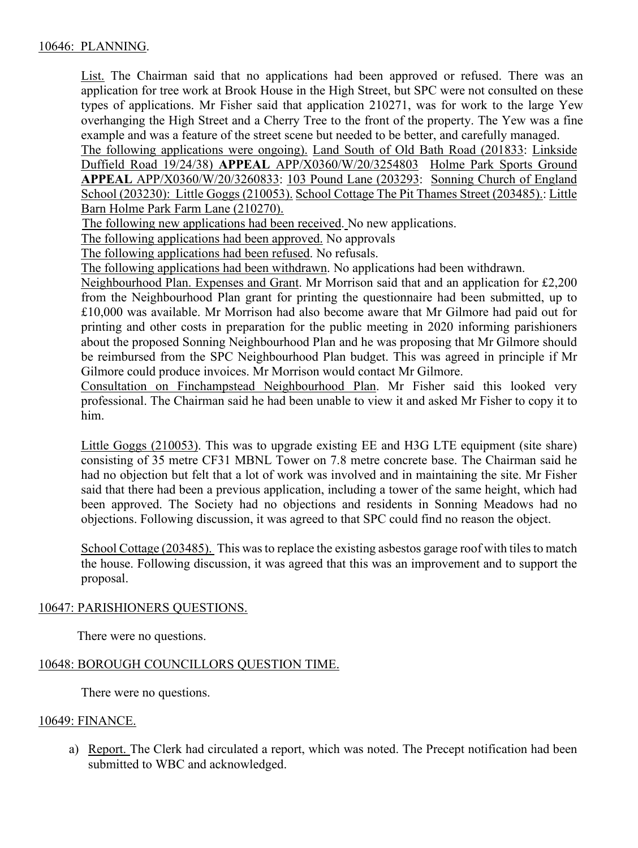List. The Chairman said that no applications had been approved or refused. There was an application for tree work at Brook House in the High Street, but SPC were not consulted on these types of applications. Mr Fisher said that application 210271, was for work to the large Yew overhanging the High Street and a Cherry Tree to the front of the property. The Yew was a fine example and was a feature of the street scene but needed to be better, and carefully managed.

The following applications were ongoing). Land South of Old Bath Road (201833: Linkside Duffield Road 19/24/38) **APPEAL** APP/X0360/W/20/3254803 Holme Park Sports Ground **APPEAL** APP/X0360/W/20/3260833: 103 Pound Lane (203293: Sonning Church of England School (203230): Little Goggs (210053). School Cottage The Pit Thames Street (203485).: Little Barn Holme Park Farm Lane (210270).

The following new applications had been received. No new applications.

The following applications had been approved. No approvals

The following applications had been refused. No refusals.

The following applications had been withdrawn. No applications had been withdrawn.

Neighbourhood Plan. Expenses and Grant. Mr Morrison said that and an application for £2,200 from the Neighbourhood Plan grant for printing the questionnaire had been submitted, up to £10,000 was available. Mr Morrison had also become aware that Mr Gilmore had paid out for printing and other costs in preparation for the public meeting in 2020 informing parishioners about the proposed Sonning Neighbourhood Plan and he was proposing that Mr Gilmore should be reimbursed from the SPC Neighbourhood Plan budget. This was agreed in principle if Mr Gilmore could produce invoices. Mr Morrison would contact Mr Gilmore.

Consultation on Finchampstead Neighbourhood Plan. Mr Fisher said this looked very professional. The Chairman said he had been unable to view it and asked Mr Fisher to copy it to him.

Little Goggs (210053). This was to upgrade existing EE and H3G LTE equipment (site share) consisting of 35 metre CF31 MBNL Tower on 7.8 metre concrete base. The Chairman said he had no objection but felt that a lot of work was involved and in maintaining the site. Mr Fisher said that there had been a previous application, including a tower of the same height, which had been approved. The Society had no objections and residents in Sonning Meadows had no objections. Following discussion, it was agreed to that SPC could find no reason the object.

School Cottage (203485). This was to replace the existing asbestos garage roof with tiles to match the house. Following discussion, it was agreed that this was an improvement and to support the proposal.

#### 10647: PARISHIONERS QUESTIONS.

There were no questions.

# 10648: BOROUGH COUNCILLORS QUESTION TIME.

There were no questions.

#### 10649: FINANCE.

a) Report. The Clerk had circulated a report, which was noted. The Precept notification had been submitted to WBC and acknowledged.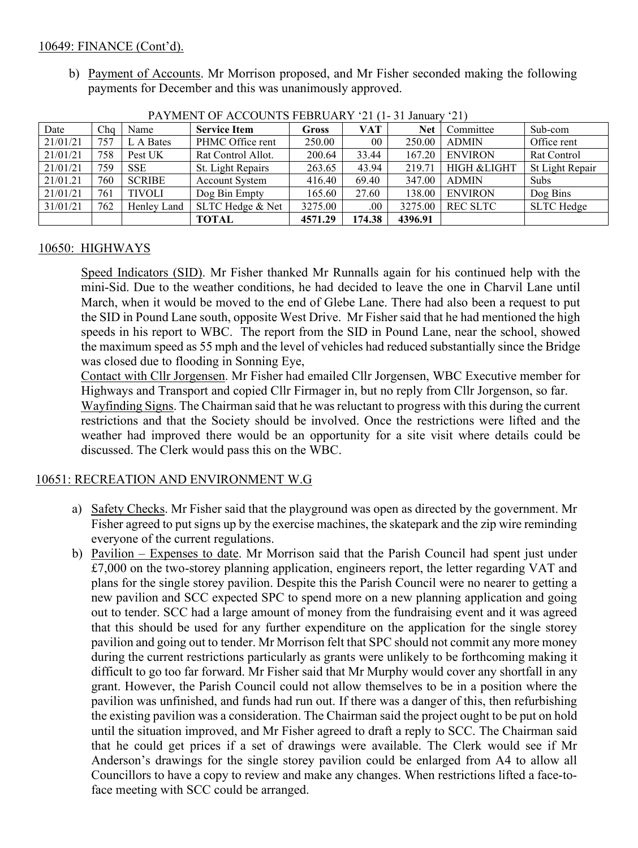### 10649: FINANCE (Cont'd).

b) Payment of Accounts. Mr Morrison proposed, and Mr Fisher seconded making the following payments for December and this was unanimously approved.

| TATIMLAYI OL AWWOONTD LEDINOANNI LI<br>$1 - 31$ Januar<br>$\sim$ 1 |     |               |                       |              |        |            |                 |                    |
|--------------------------------------------------------------------|-----|---------------|-----------------------|--------------|--------|------------|-----------------|--------------------|
| Date                                                               | Cho | Name          | <b>Service Item</b>   | <b>Gross</b> | VAT    | <b>Net</b> | Committee       | Sub-com            |
| 21/01/21                                                           | 757 | L A Bates     | PHMC Office rent      | 250.00       | 00     | 250.00     | <b>ADMIN</b>    | Office rent        |
| 21/01/21                                                           | 758 | Pest UK       | Rat Control Allot.    | 200.64       | 33.44  | 167.20     | <b>ENVIRON</b>  | <b>Rat Control</b> |
| 21/01/21                                                           | 759 | <b>SSE</b>    | St. Light Repairs     | 263.65       | 43.94  | 219.71     | HIGH & LIGHT    | St Light Repair    |
| 21/01.21                                                           | 760 | <b>SCRIBE</b> | <b>Account System</b> | 416.40       | 69.40  | 347.00     | <b>ADMIN</b>    | Subs               |
| 21/01/21                                                           | 761 | <b>TIVOLI</b> | Dog Bin Empty         | 165.60       | 27.60  | 138.00     | <b>ENVIRON</b>  | Dog Bins           |
| 31/01/21                                                           | 762 | Henley Land   | SLTC Hedge & Net      | 3275.00      | .00    | 3275.00    | <b>REC SLTC</b> | SLTC Hedge         |
|                                                                    |     |               | <b>TOTAL</b>          | 4571.29      | 174.38 | 4396.91    |                 |                    |

PAYMENT OF ACCOUNTS FEBRUARY '21 (1-31 January '21)

# 10650: HIGHWAYS

Speed Indicators (SID). Mr Fisher thanked Mr Runnalls again for his continued help with the mini-Sid. Due to the weather conditions, he had decided to leave the one in Charvil Lane until March, when it would be moved to the end of Glebe Lane. There had also been a request to put the SID in Pound Lane south, opposite West Drive. Mr Fisher said that he had mentioned the high speeds in his report to WBC. The report from the SID in Pound Lane, near the school, showed the maximum speed as 55 mph and the level of vehicles had reduced substantially since the Bridge was closed due to flooding in Sonning Eye,

Contact with Cllr Jorgensen. Mr Fisher had emailed Cllr Jorgensen, WBC Executive member for Highways and Transport and copied Cllr Firmager in, but no reply from Cllr Jorgenson, so far.

Wayfinding Signs. The Chairman said that he was reluctant to progress with this during the current restrictions and that the Society should be involved. Once the restrictions were lifted and the weather had improved there would be an opportunity for a site visit where details could be discussed. The Clerk would pass this on the WBC.

# 10651: RECREATION AND ENVIRONMENT W.G

- a) Safety Checks. Mr Fisher said that the playground was open as directed by the government. Mr Fisher agreed to put signs up by the exercise machines, the skatepark and the zip wire reminding everyone of the current regulations.
- b) Pavilion Expenses to date. Mr Morrison said that the Parish Council had spent just under  $£7,000$  on the two-storey planning application, engineers report, the letter regarding VAT and plans for the single storey pavilion. Despite this the Parish Council were no nearer to getting a new pavilion and SCC expected SPC to spend more on a new planning application and going out to tender. SCC had a large amount of money from the fundraising event and it was agreed that this should be used for any further expenditure on the application for the single storey pavilion and going out to tender. Mr Morrison felt that SPC should not commit any more money during the current restrictions particularly as grants were unlikely to be forthcoming making it difficult to go too far forward. Mr Fisher said that Mr Murphy would cover any shortfall in any grant. However, the Parish Council could not allow themselves to be in a position where the pavilion was unfinished, and funds had run out. If there was a danger of this, then refurbishing the existing pavilion was a consideration. The Chairman said the project ought to be put on hold until the situation improved, and Mr Fisher agreed to draft a reply to SCC. The Chairman said that he could get prices if a set of drawings were available. The Clerk would see if Mr Anderson's drawings for the single storey pavilion could be enlarged from A4 to allow all Councillors to have a copy to review and make any changes. When restrictions lifted a face-toface meeting with SCC could be arranged.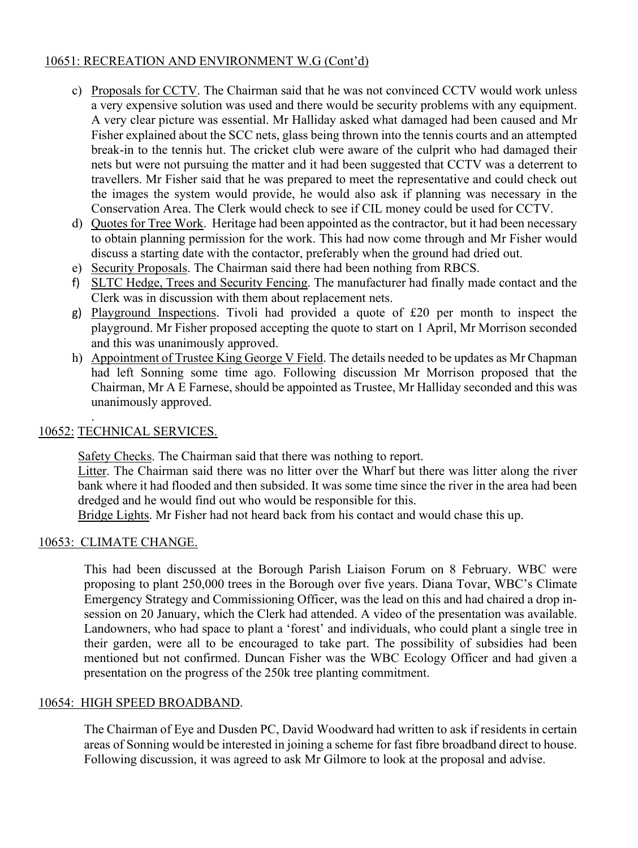# 10651: RECREATION AND ENVIRONMENT W.G (Cont'd)

- c) Proposals for CCTV. The Chairman said that he was not convinced CCTV would work unless a very expensive solution was used and there would be security problems with any equipment. A very clear picture was essential. Mr Halliday asked what damaged had been caused and Mr Fisher explained about the SCC nets, glass being thrown into the tennis courts and an attempted break-in to the tennis hut. The cricket club were aware of the culprit who had damaged their nets but were not pursuing the matter and it had been suggested that CCTV was a deterrent to travellers. Mr Fisher said that he was prepared to meet the representative and could check out the images the system would provide, he would also ask if planning was necessary in the Conservation Area. The Clerk would check to see if CIL money could be used for CCTV.
- d) Quotes for Tree Work. Heritage had been appointed as the contractor, but it had been necessary to obtain planning permission for the work. This had now come through and Mr Fisher would discuss a starting date with the contactor, preferably when the ground had dried out.
- e) Security Proposals. The Chairman said there had been nothing from RBCS.
- f) SLTC Hedge, Trees and Security Fencing. The manufacturer had finally made contact and the Clerk was in discussion with them about replacement nets.
- g) Playground Inspections. Tivoli had provided a quote of £20 per month to inspect the playground. Mr Fisher proposed accepting the quote to start on 1 April, Mr Morrison seconded and this was unanimously approved.
- h) Appointment of Trustee King George V Field. The details needed to be updates as Mr Chapman had left Sonning some time ago. Following discussion Mr Morrison proposed that the Chairman, Mr A E Farnese, should be appointed as Trustee, Mr Halliday seconded and this was unanimously approved.

#### . 10652: TECHNICAL SERVICES.

Safety Checks. The Chairman said that there was nothing to report.

Litter. The Chairman said there was no litter over the Wharf but there was litter along the river bank where it had flooded and then subsided. It was some time since the river in the area had been dredged and he would find out who would be responsible for this.

Bridge Lights. Mr Fisher had not heard back from his contact and would chase this up.

#### 10653: CLIMATE CHANGE.

This had been discussed at the Borough Parish Liaison Forum on 8 February. WBC were proposing to plant 250,000 trees in the Borough over five years. Diana Tovar, WBC's Climate Emergency Strategy and Commissioning Officer, was the lead on this and had chaired a drop insession on 20 January, which the Clerk had attended. A video of the presentation was available. Landowners, who had space to plant a 'forest' and individuals, who could plant a single tree in their garden, were all to be encouraged to take part. The possibility of subsidies had been mentioned but not confirmed. Duncan Fisher was the WBC Ecology Officer and had given a presentation on the progress of the 250k tree planting commitment.

# 10654: HIGH SPEED BROADBAND.

The Chairman of Eye and Dusden PC, David Woodward had written to ask if residents in certain areas of Sonning would be interested in joining a scheme for fast fibre broadband direct to house. Following discussion, it was agreed to ask Mr Gilmore to look at the proposal and advise.